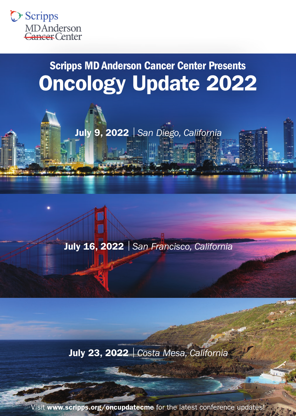

# Scripps MD Anderson Cancer Center Presents Oncology Update 2022



July 16, 2022 | *San Francisco, California*

July 23, 2022 | *Costa Mesa, California*

Visit [www.scripps.org/oncupdatecme](http://www.scripps.org/oncupdatecme) for the latest conference updates!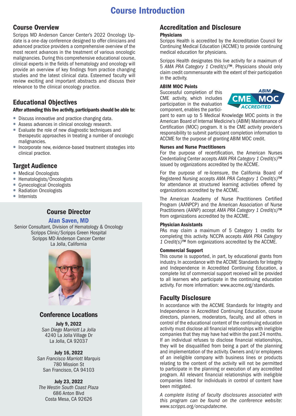# Course Introduction

## Course Overview

Scripps MD Anderson Cancer Center's 2022 Oncology Update is a one-day conference designed to offer clinicians and advanced practice providers a comprehensive overview of the most recent advances in the treatment of various oncologic malignancies. During this comprehensive educational course, clinical experts in the fields of hematology and oncology will provide an overview of key findings from practice changing studies and the latest clinical data. Esteemed faculty will review exciting and important abstracts and discuss their relevance to the clinical oncology practice.

# Educational Objectives

#### After attending this live activity, participants should be able to:

- Discuss innovative and practice changing data.
- Assess advances in clinical oncology research.
- Evaluate the role of new diagnostic techniques and therapeutic approaches in treating a number of oncologic malignancies.
- Incorporate new, evidence-based treatment strategies into clinical practice.

# Target Audience

- Medical Oncologists
- Hematologists/Oncologists
- Gynecological Oncologists
- Radiation Oncologists
- Internists

# Course Director

#### Alan Saven, MD

Senior Consultant, Division of Hematology & Oncology Scripps Clinic/Scripps Green Hospital Scripps MD Anderson Cancer Center La Jolla, California



## Conference Locations

July 9, 2022 *San Diego Marriott La Jolla* 4240 La Jolla Village Dr La Jolla, CA 92037

#### July 16, 2022

*San Francisco Marriott Marquis* 780 Mission St San Francisco, CA 94103

July 23, 2022 *The Westin South Coast Plaza* 686 Anton Blvd Costa Mesa, CA 92626

# Accreditation and Disclosure

#### **Physicians**

Scripps Health is accredited by the Accreditation Council for Continuing Medical Education (ACCME) to provide continuing medical education for physicians.

Scripps Health designates this live activity for a maximum of 5 *AMA PRA Category 1 Credit(s)™*. Physicians should only claim credit commensurate with the extent of their participation in the activity.

#### ABIM MOC Points

Successful completion of this CME activity, which includes participation in the evaluation component, enables the partici-



pant to earn up to 5 Medical Knowledge MOC points in the American Board of Internal Medicine's (ABIM) Maintenance of Certification (MOC) program. It is the CME activity provider's responsibility to submit participant completion information to ACCME for the purpose of granting ABIM MOC credit.

#### Nurses and Nurse Practitioners

For the purpose of recertification, the American Nurses Credentialing Center accepts *AMA PRA Category 1 Credit(s)™*  issued by organizations accredited by the ACCME.

For the purpose of re-licensure, the California Board of Registered Nursing accepts *AMA PRA Category 1 Credit(s)™* for attendance at structured learning activities offered by organizations accredited by the ACCME.

The American Academy of Nurse Practitioners Certified Program (AANPCP) and the American Association of Nurse Practitioners (AANP) accept *AMA PRA Category 1 Credit(s)™* from organizations accredited by the ACCME.

#### Physician Assistants

PAs may claim a maximum of 5 Category 1 credits for completing this activity. NCCPA accepts *AMA PRA Category 1 Credit(s)™* from organizations accredited by the ACCME.

#### Commercial Support

This course is supported, in part, by educational grants from industry. In accordance with the ACCME Standards for Integrity and Independence in Accredited Continuing Education, a complete list of commercial support received will be provided to all learners who participate in the continuing education activity. For more information: [www.accme.org/standards](http://www.accme.org/standards).

## Faculty Disclosure

In accordance with the ACCME Standards for Integrity and Independence in Accredited Continuing Education, course directors, planners, moderators, faculty, and all others in control of the educational content of the continuing education activity must disclose all financial relationships with ineligible companies that they may have had within the past 24 months. If an individual refuses to disclose financial relationships, they will be disqualified from being a part of the planning and implementation of the activity. Owners and/or employees of an ineligible company with business lines or products relating to the content of the activity will not be permitted to participate in the planning or execution of any accredited program. All relevant financial relationships with ineligible companies listed for individuals in control of content have been mitigated.

*A complete listing of faculty disclosures associated with this program can be found on the conference website: [www.scripps.org/oncupdatecme](http://www.scripps.org/oncupdatecme).*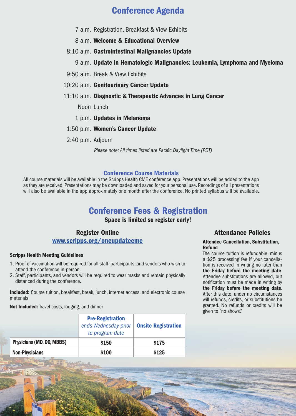# Conference Agenda

- 7 a.m. Registration, Breakfast & View Exhibits
- 8 a.m. Welcome & Educational Overview
- 8:10 a.m. Gastrointestinal Malignancies Update
	- 9 a.m. Update in Hematologic Malignancies: Leukemia, Lymphoma and Myeloma
- 9:50 a.m. Break & View Exhibits
- 10:20 a.m. Genitourinary Cancer Update
- 11:10 a.m. Diagnostic & Therapeutic Advances in Lung Cancer
	- Noon Lunch
	- 1 p.m. Updates in Melanoma
- 1:50 p.m. Women's Cancer Update
- 2:40 p.m. Adjourn

*Please note: All times listed are Pacific Daylight Time (PDT)*

#### Conference Course Materials

All course materials will be available in the Scripps Health CME conference app. Presentations will be added to the app as they are received. Presentations may be downloaded and saved for your personal use. Recordings of all presentations will also be available in the app approximately one month after the conference. No printed syllabus will be available.

# Conference Fees & Registration

Space is limited so register early!

### Register Online <www.scripps.org/oncupdatecme>

#### Scripps Health Meeting Guidelines

- 1. Proof of vaccination will be required for all staff, participants, and vendors who wish to attend the conference in-person.
- 2. Staff, participants, and vendors will be required to wear masks and remain physically distanced during the conference.

Included: Course tuition, breakfast, break, lunch, internet access, and electronic course materials

Not Included: Travel costs, lodging, and dinner

|                           | <b>Pre-Registration</b><br>ends Wednesday prior<br>to program date | <b>Onsite Registration</b> |
|---------------------------|--------------------------------------------------------------------|----------------------------|
| Physicians (MD, DO, MBBS) | \$150                                                              | \$175                      |
| <b>Non-Physicians</b>     | \$100                                                              | \$125                      |

#### Attendance Policies

#### Attendee Cancellation, Substitution, Refund

The course tuition is refundable, minus a \$25 processing fee if your cancellation is received in writing no later than the Friday before the meeting date. Attendee substitutions are allowed, but notification must be made in writing by the Friday before the meeting date. After this date, under no circumstances will refunds, credits, or substitutions be granted. No refunds or credits will be given to "no shows."